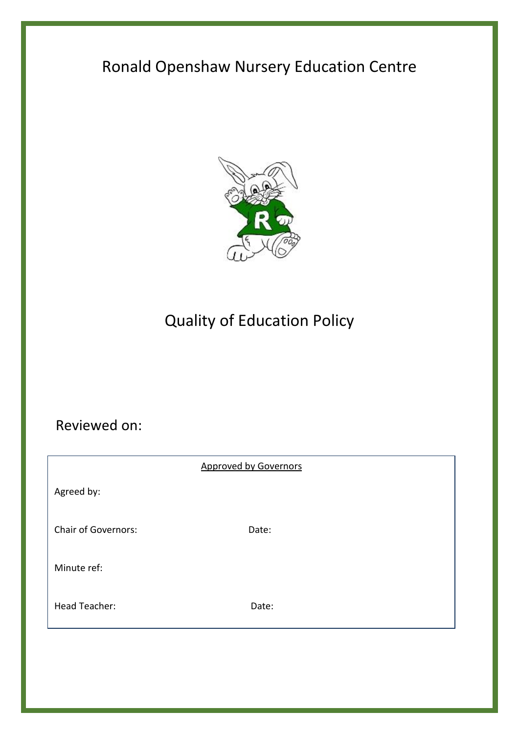# Ronald Openshaw Nursery Education Centre



# Quality of Education Policy

# Reviewed on:

|                            | <b>Approved by Governors</b> |  |
|----------------------------|------------------------------|--|
| Agreed by:                 |                              |  |
| <b>Chair of Governors:</b> | Date:                        |  |
| Minute ref:                |                              |  |
| Head Teacher:              | Date:                        |  |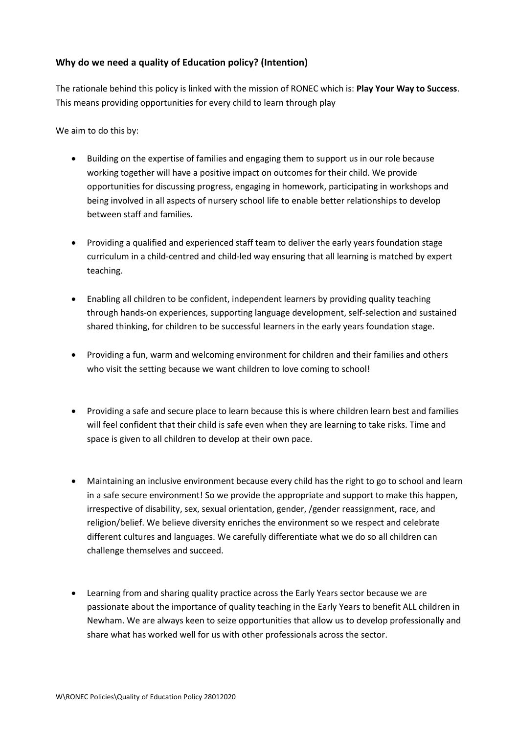# **Why do we need a quality of Education policy? (Intention)**

The rationale behind this policy is linked with the mission of RONEC which is: **Play Your Way to Success**. This means providing opportunities for every child to learn through play

We aim to do this by:

- Building on the expertise of families and engaging them to support us in our role because working together will have a positive impact on outcomes for their child. We provide opportunities for discussing progress, engaging in homework, participating in workshops and being involved in all aspects of nursery school life to enable better relationships to develop between staff and families.
- Providing a qualified and experienced staff team to deliver the early years foundation stage curriculum in a child-centred and child-led way ensuring that all learning is matched by expert teaching.
- Enabling all children to be confident, independent learners by providing quality teaching through hands-on experiences, supporting language development, self-selection and sustained shared thinking, for children to be successful learners in the early years foundation stage.
- Providing a fun, warm and welcoming environment for children and their families and others who visit the setting because we want children to love coming to school!
- Providing a safe and secure place to learn because this is where children learn best and families will feel confident that their child is safe even when they are learning to take risks. Time and space is given to all children to develop at their own pace.
- Maintaining an inclusive environment because every child has the right to go to school and learn in a safe secure environment! So we provide the appropriate and support to make this happen, irrespective of disability, sex, sexual orientation, gender, /gender reassignment, race, and religion/belief. We believe diversity enriches the environment so we respect and celebrate different cultures and languages. We carefully differentiate what we do so all children can challenge themselves and succeed.
- Learning from and sharing quality practice across the Early Years sector because we are passionate about the importance of quality teaching in the Early Years to benefit ALL children in Newham. We are always keen to seize opportunities that allow us to develop professionally and share what has worked well for us with other professionals across the sector.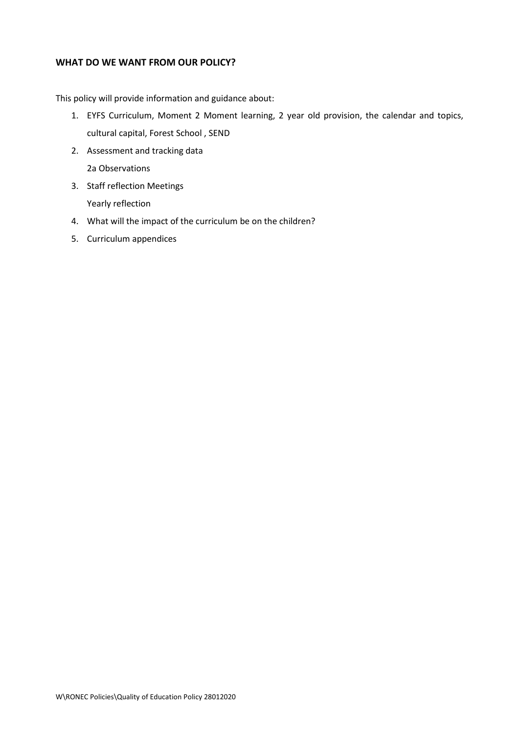### **WHAT DO WE WANT FROM OUR POLICY?**

This policy will provide information and guidance about:

- 1. EYFS Curriculum, Moment 2 Moment learning, 2 year old provision, the calendar and topics, cultural capital, Forest School , SEND
- 2. Assessment and tracking data 2a Observations
- 3. Staff reflection Meetings Yearly reflection
- 4. What will the impact of the curriculum be on the children?
- 5. Curriculum appendices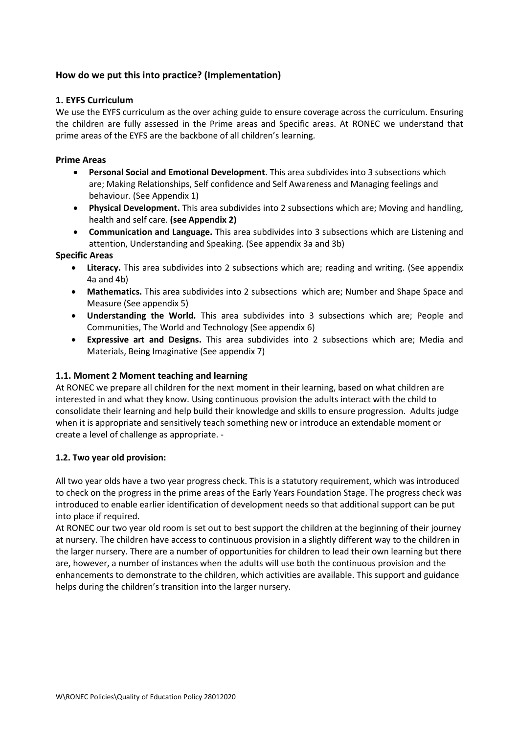## **How do we put this into practice? (Implementation)**

#### **1. EYFS Curriculum**

We use the EYFS curriculum as the over aching guide to ensure coverage across the curriculum. Ensuring the children are fully assessed in the Prime areas and Specific areas. At RONEC we understand that prime areas of the EYFS are the backbone of all children's learning.

#### **Prime Areas**

- **Personal Social and Emotional Development**. This area subdivides into 3 subsections which are; Making Relationships, Self confidence and Self Awareness and Managing feelings and behaviour. (See Appendix 1)
- **Physical Development.** This area subdivides into 2 subsections which are; Moving and handling, health and self care. **(see Appendix 2)**
- **Communication and Language.** This area subdivides into 3 subsections which are Listening and attention, Understanding and Speaking. (See appendix 3a and 3b)

#### **Specific Areas**

- **Literacy.** This area subdivides into 2 subsections which are; reading and writing. (See appendix 4a and 4b)
- **Mathematics.** This area subdivides into 2 subsections which are; Number and Shape Space and Measure (See appendix 5)
- **Understanding the World.** This area subdivides into 3 subsections which are; People and Communities, The World and Technology (See appendix 6)
- **Expressive art and Designs.** This area subdivides into 2 subsections which are; Media and Materials, Being Imaginative (See appendix 7)

### **1.1. Moment 2 Moment teaching and learning**

At RONEC we prepare all children for the next moment in their learning, based on what children are interested in and what they know. Using continuous provision the adults interact with the child to consolidate their learning and help build their knowledge and skills to ensure progression. Adults judge when it is appropriate and sensitively teach something new or introduce an extendable moment or create a level of challenge as appropriate. -

### **1.2. Two year old provision:**

All two year olds have a two year progress check. This is a statutory requirement, which was introduced to check on the progress in the prime areas of the Early Years Foundation Stage. The progress check was introduced to enable earlier identification of development needs so that additional support can be put into place if required.

At RONEC our two year old room is set out to best support the children at the beginning of their journey at nursery. The children have access to continuous provision in a slightly different way to the children in the larger nursery. There are a number of opportunities for children to lead their own learning but there are, however, a number of instances when the adults will use both the continuous provision and the enhancements to demonstrate to the children, which activities are available. This support and guidance helps during the children's transition into the larger nursery.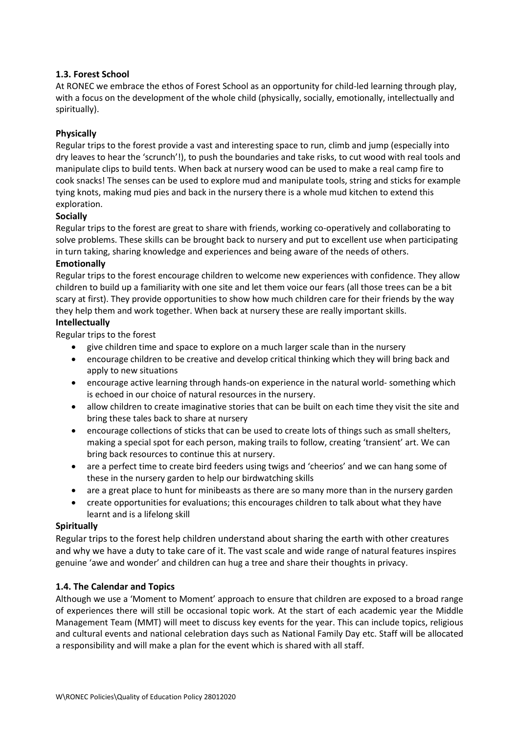### **1.3. Forest School**

At RONEC we embrace the ethos of Forest School as an opportunity for child-led learning through play, with a focus on the development of the whole child (physically, socially, emotionally, intellectually and spiritually).

#### **Physically**

Regular trips to the forest provide a vast and interesting space to run, climb and jump (especially into dry leaves to hear the 'scrunch'!), to push the boundaries and take risks, to cut wood with real tools and manipulate clips to build tents. When back at nursery wood can be used to make a real camp fire to cook snacks! The senses can be used to explore mud and manipulate tools, string and sticks for example tying knots, making mud pies and back in the nursery there is a whole mud kitchen to extend this exploration.

#### **Socially**

Regular trips to the forest are great to share with friends, working co-operatively and collaborating to solve problems. These skills can be brought back to nursery and put to excellent use when participating in turn taking, sharing knowledge and experiences and being aware of the needs of others.

#### **Emotionally**

Regular trips to the forest encourage children to welcome new experiences with confidence. They allow children to build up a familiarity with one site and let them voice our fears (all those trees can be a bit scary at first). They provide opportunities to show how much children care for their friends by the way they help them and work together. When back at nursery these are really important skills.

#### **Intellectually**

Regular trips to the forest

- give children time and space to explore on a much larger scale than in the nursery
- encourage children to be creative and develop critical thinking which they will bring back and apply to new situations
- encourage active learning through hands-on experience in the natural world- something which is echoed in our choice of natural resources in the nursery.
- allow children to create imaginative stories that can be built on each time they visit the site and bring these tales back to share at nursery
- encourage collections of sticks that can be used to create lots of things such as small shelters, making a special spot for each person, making trails to follow, creating 'transient' art. We can bring back resources to continue this at nursery.
- are a perfect time to create bird feeders using twigs and 'cheerios' and we can hang some of these in the nursery garden to help our birdwatching skills
- are a great place to hunt for minibeasts as there are so many more than in the nursery garden
- create opportunities for evaluations; this encourages children to talk about what they have learnt and is a lifelong skill

#### **Spiritually**

Regular trips to the forest help children understand about sharing the earth with other creatures and why we have a duty to take care of it. The vast scale and wide range of natural features inspires genuine 'awe and wonder' and children can hug a tree and share their thoughts in privacy.

### **1.4. The Calendar and Topics**

Although we use a 'Moment to Moment' approach to ensure that children are exposed to a broad range of experiences there will still be occasional topic work. At the start of each academic year the Middle Management Team (MMT) will meet to discuss key events for the year. This can include topics, religious and cultural events and national celebration days such as National Family Day etc. Staff will be allocated a responsibility and will make a plan for the event which is shared with all staff.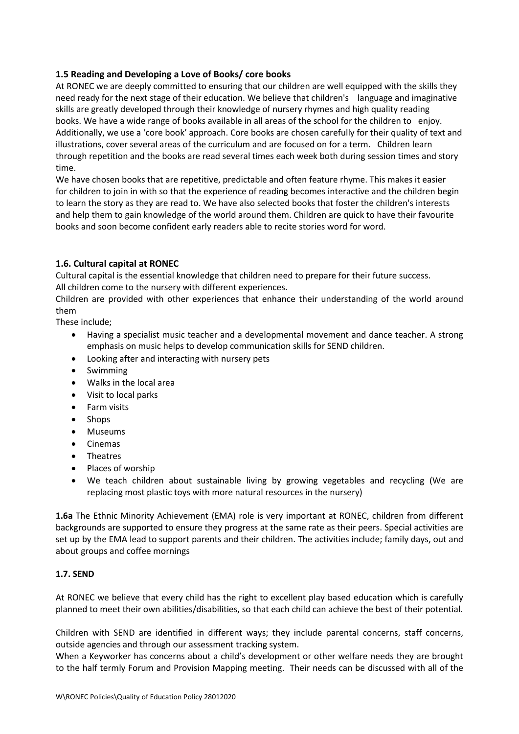### **1.5 Reading and Developing a Love of Books/ core books**

At RONEC we are deeply committed to ensuring that our children are well equipped with the skills they need ready for the next stage of their education. We believe that children's language and imaginative skills are greatly developed through their knowledge of nursery rhymes and high quality reading books. We have a wide range of books available in all areas of the school for the children to enjoy. Additionally, we use a 'core book' approach. Core books are chosen carefully for their quality of text and illustrations, cover several areas of the curriculum and are focused on for a term. Children learn through repetition and the books are read several times each week both during session times and story time.

We have chosen books that are repetitive, predictable and often feature rhyme. This makes it easier for children to join in with so that the experience of reading becomes interactive and the children begin to learn the story as they are read to. We have also selected books that foster the children's interests and help them to gain knowledge of the world around them. Children are quick to have their favourite books and soon become confident early readers able to recite stories word for word.

### **1.6. Cultural capital at RONEC**

Cultural capital is the essential knowledge that children need to prepare for their future success. All children come to the nursery with different experiences.

Children are provided with other experiences that enhance their understanding of the world around them

These include;

- Having a specialist music teacher and a developmental movement and dance teacher. A strong emphasis on music helps to develop communication skills for SEND children.
- Looking after and interacting with nursery pets
- Swimming
- Walks in the local area
- Visit to local parks
- Farm visits
- Shops
- Museums
- Cinemas
- Theatres
- Places of worship
- We teach children about sustainable living by growing vegetables and recycling (We are replacing most plastic toys with more natural resources in the nursery)

**1.6a** The Ethnic Minority Achievement (EMA) role is very important at RONEC, children from different backgrounds are supported to ensure they progress at the same rate as their peers. Special activities are set up by the EMA lead to support parents and their children. The activities include; family days, out and about groups and coffee mornings

### **1.7. SEND**

At RONEC we believe that every child has the right to excellent play based education which is carefully planned to meet their own abilities/disabilities, so that each child can achieve the best of their potential.

Children with SEND are identified in different ways; they include parental concerns, staff concerns, outside agencies and through our assessment tracking system.

When a Keyworker has concerns about a child's development or other welfare needs they are brought to the half termly Forum and Provision Mapping meeting. Their needs can be discussed with all of the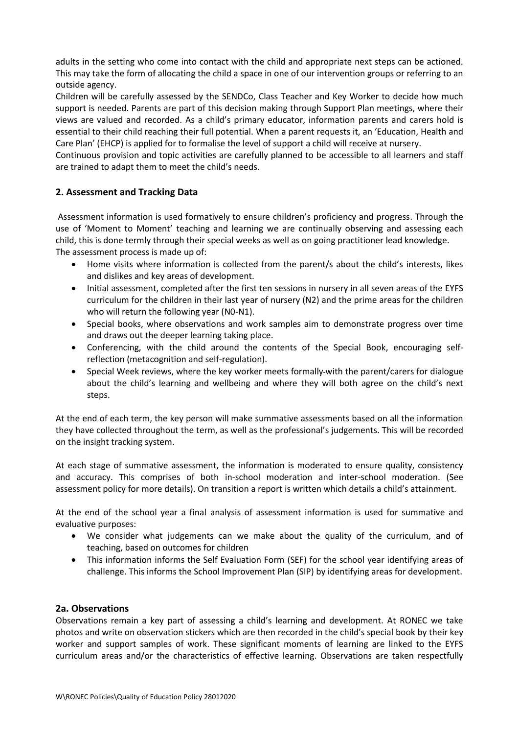adults in the setting who come into contact with the child and appropriate next steps can be actioned. This may take the form of allocating the child a space in one of our intervention groups or referring to an outside agency.

Children will be carefully assessed by the SENDCo, Class Teacher and Key Worker to decide how much support is needed. Parents are part of this decision making through Support Plan meetings, where their views are valued and recorded. As a child's primary educator, information parents and carers hold is essential to their child reaching their full potential. When a parent requests it, an 'Education, Health and Care Plan' (EHCP) is applied for to formalise the level of support a child will receive at nursery.

Continuous provision and topic activities are carefully planned to be accessible to all learners and staff are trained to adapt them to meet the child's needs.

# **2. Assessment and Tracking Data**

Assessment information is used formatively to ensure children's proficiency and progress. Through the use of 'Moment to Moment' teaching and learning we are continually observing and assessing each child, this is done termly through their special weeks as well as on going practitioner lead knowledge. The assessment process is made up of:

- Home visits where information is collected from the parent/s about the child's interests, likes and dislikes and key areas of development.
- Initial assessment, completed after the first ten sessions in nursery in all seven areas of the EYFS curriculum for the children in their last year of nursery (N2) and the prime areas for the children who will return the following year (N0-N1).
- Special books, where observations and work samples aim to demonstrate progress over time and draws out the deeper learning taking place.
- Conferencing, with the child around the contents of the Special Book, encouraging selfreflection (metacognition and self-regulation).
- Special Week reviews, where the key worker meets formally with the parent/carers for dialogue about the child's learning and wellbeing and where they will both agree on the child's next steps.

At the end of each term, the key person will make summative assessments based on all the information they have collected throughout the term, as well as the professional's judgements. This will be recorded on the insight tracking system.

At each stage of summative assessment, the information is moderated to ensure quality, consistency and accuracy. This comprises of both in-school moderation and inter-school moderation. (See assessment policy for more details). On transition a report is written which details a child's attainment.

At the end of the school year a final analysis of assessment information is used for summative and evaluative purposes:

- We consider what judgements can we make about the quality of the curriculum, and of teaching, based on outcomes for children
- This information informs the Self Evaluation Form (SEF) for the school year identifying areas of challenge. This informs the School Improvement Plan (SIP) by identifying areas for development.

### **2a. Observations**

Observations remain a key part of assessing a child's learning and development. At RONEC we take photos and write on observation stickers which are then recorded in the child's special book by their key worker and support samples of work. These significant moments of learning are linked to the EYFS curriculum areas and/or the characteristics of effective learning. Observations are taken respectfully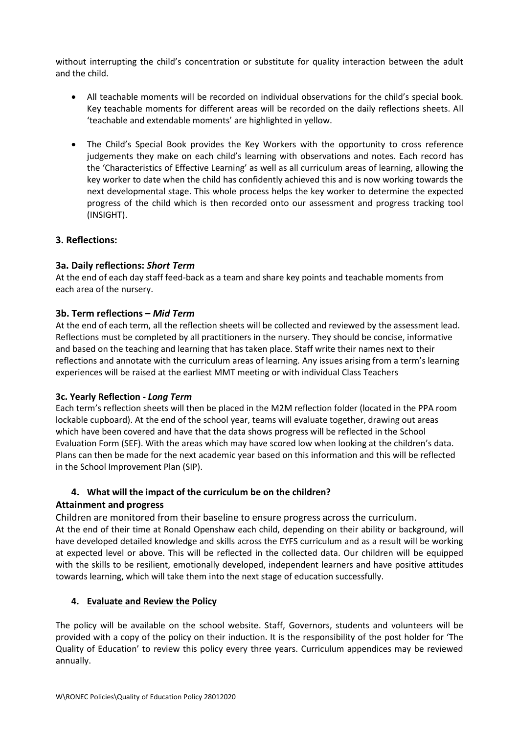without interrupting the child's concentration or substitute for quality interaction between the adult and the child.

- All teachable moments will be recorded on individual observations for the child's special book. Key teachable moments for different areas will be recorded on the daily reflections sheets. All 'teachable and extendable moments' are highlighted in yellow.
- The Child's Special Book provides the Key Workers with the opportunity to cross reference judgements they make on each child's learning with observations and notes. Each record has the 'Characteristics of Effective Learning' as well as all curriculum areas of learning, allowing the key worker to date when the child has confidently achieved this and is now working towards the next developmental stage. This whole process helps the key worker to determine the expected progress of the child which is then recorded onto our assessment and progress tracking tool (INSIGHT).

#### **3. Reflections:**

#### **3a. Daily reflections:** *Short Term*

At the end of each day staff feed-back as a team and share key points and teachable moments from each area of the nursery.

#### **3b. Term reflections –** *Mid Term*

At the end of each term, all the reflection sheets will be collected and reviewed by the assessment lead. Reflections must be completed by all practitioners in the nursery. They should be concise, informative and based on the teaching and learning that has taken place. Staff write their names next to their reflections and annotate with the curriculum areas of learning. Any issues arising from a term's learning experiences will be raised at the earliest MMT meeting or with individual Class Teachers

#### **3c. Yearly Reflection -** *Long Term*

Each term's reflection sheets will then be placed in the M2M reflection folder (located in the PPA room lockable cupboard). At the end of the school year, teams will evaluate together, drawing out areas which have been covered and have that the data shows progress will be reflected in the School Evaluation Form (SEF). With the areas which may have scored low when looking at the children's data. Plans can then be made for the next academic year based on this information and this will be reflected in the School Improvement Plan (SIP).

### **4. What will the impact of the curriculum be on the children?**

### **Attainment and progress**

Children are monitored from their baseline to ensure progress across the curriculum.

At the end of their time at Ronald Openshaw each child, depending on their ability or background, will have developed detailed knowledge and skills across the EYFS curriculum and as a result will be working at expected level or above. This will be reflected in the collected data. Our children will be equipped with the skills to be resilient, emotionally developed, independent learners and have positive attitudes towards learning, which will take them into the next stage of education successfully.

#### **4. Evaluate and Review the Policy**

The policy will be available on the school website. Staff, Governors, students and volunteers will be provided with a copy of the policy on their induction. It is the responsibility of the post holder for 'The Quality of Education' to review this policy every three years. Curriculum appendices may be reviewed annually.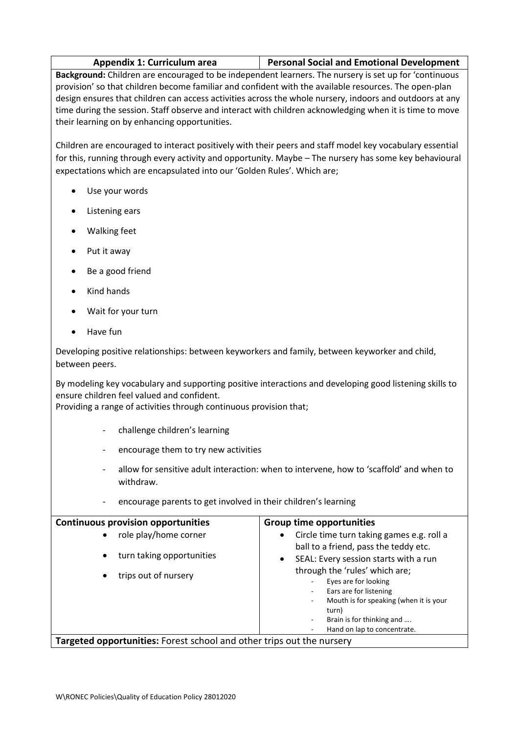|  | Appendix 1: Curriculum area | <b>Personal Social and Emotional Development</b> |
|--|-----------------------------|--------------------------------------------------|
|--|-----------------------------|--------------------------------------------------|

**Background:** Children are encouraged to be independent learners. The nursery is set up for 'continuous provision' so that children become familiar and confident with the available resources. The open-plan design ensures that children can access activities across the whole nursery, indoors and outdoors at any time during the session. Staff observe and interact with children acknowledging when it is time to move their learning on by enhancing opportunities.

Children are encouraged to interact positively with their peers and staff model key vocabulary essential for this, running through every activity and opportunity. Maybe – The nursery has some key behavioural expectations which are encapsulated into our 'Golden Rules'. Which are;

- Use your words
- Listening ears
- Walking feet
- Put it away
- Be a good friend
- Kind hands
- Wait for your turn
- Have fun

Developing positive relationships: between keyworkers and family, between keyworker and child, between peers.

By modeling key vocabulary and supporting positive interactions and developing good listening skills to ensure children feel valued and confident.

Providing a range of activities through continuous provision that;

- challenge children's learning
- encourage them to try new activities
- allow for sensitive adult interaction: when to intervene, how to 'scaffold' and when to withdraw.
- encourage parents to get involved in their children's learning

| <b>Continuous provision opportunities</b>                                                                         | <b>Group time opportunities</b>                                                                                                                                                                                                                                                                                           |
|-------------------------------------------------------------------------------------------------------------------|---------------------------------------------------------------------------------------------------------------------------------------------------------------------------------------------------------------------------------------------------------------------------------------------------------------------------|
| role play/home corner<br>$\bullet$<br>turn taking opportunities<br>$\bullet$<br>trips out of nursery<br>$\bullet$ | Circle time turn taking games e.g. roll a<br>$\bullet$<br>ball to a friend, pass the teddy etc.<br>SEAL: Every session starts with a run<br>$\bullet$<br>through the 'rules' which are;<br>Eyes are for looking<br>Ears are for listening<br>Mouth is for speaking (when it is your<br>turn)<br>Brain is for thinking and |
| Hand on lap to concentrate.<br><b>Targeted opportunities:</b> Forest school and other trips out the nursery       |                                                                                                                                                                                                                                                                                                                           |

W\RONEC Policies\Quality of Education Policy 28012020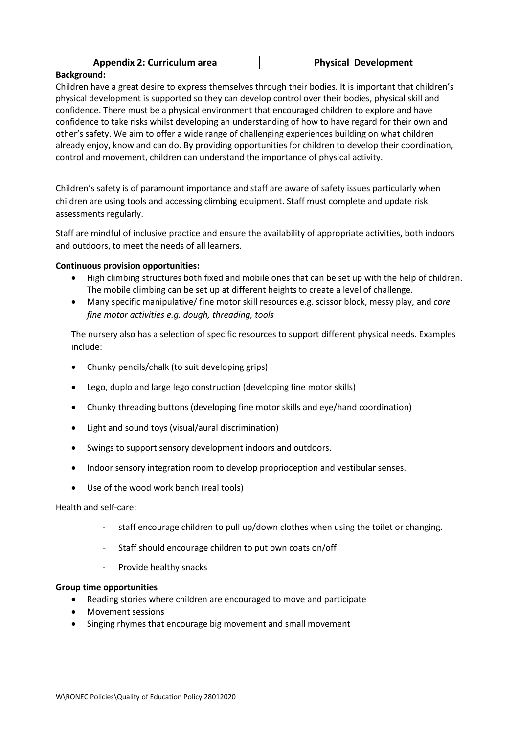| <b>Appendix 2: Curriculum area</b> | <b>Physical Development</b> |
|------------------------------------|-----------------------------|
|------------------------------------|-----------------------------|

#### **Background:**

Children have a great desire to express themselves through their bodies. It is important that children's physical development is supported so they can develop control over their bodies, physical skill and confidence. There must be a physical environment that encouraged children to explore and have confidence to take risks whilst developing an understanding of how to have regard for their own and other's safety. We aim to offer a wide range of challenging experiences building on what children already enjoy, know and can do. By providing opportunities for children to develop their coordination, control and movement, children can understand the importance of physical activity.

Children's safety is of paramount importance and staff are aware of safety issues particularly when children are using tools and accessing climbing equipment. Staff must complete and update risk assessments regularly.

Staff are mindful of inclusive practice and ensure the availability of appropriate activities, both indoors and outdoors, to meet the needs of all learners.

#### **Continuous provision opportunities:**

- High climbing structures both fixed and mobile ones that can be set up with the help of children. The mobile climbing can be set up at different heights to create a level of challenge.
- Many specific manipulative/ fine motor skill resources e.g. scissor block, messy play, and *core fine motor activities e.g. dough, threading, tools*

The nursery also has a selection of specific resources to support different physical needs. Examples include:

- Chunky pencils/chalk (to suit developing grips)
- Lego, duplo and large lego construction (developing fine motor skills)
- Chunky threading buttons (developing fine motor skills and eye/hand coordination)
- Light and sound toys (visual/aural discrimination)
- Swings to support sensory development indoors and outdoors.
- Indoor sensory integration room to develop proprioception and vestibular senses.
- Use of the wood work bench (real tools)

Health and self-care:

- staff encourage children to pull up/down clothes when using the toilet or changing.
- Staff should encourage children to put own coats on/off
- Provide healthy snacks

- Reading stories where children are encouraged to move and participate
- Movement sessions
- Singing rhymes that encourage big movement and small movement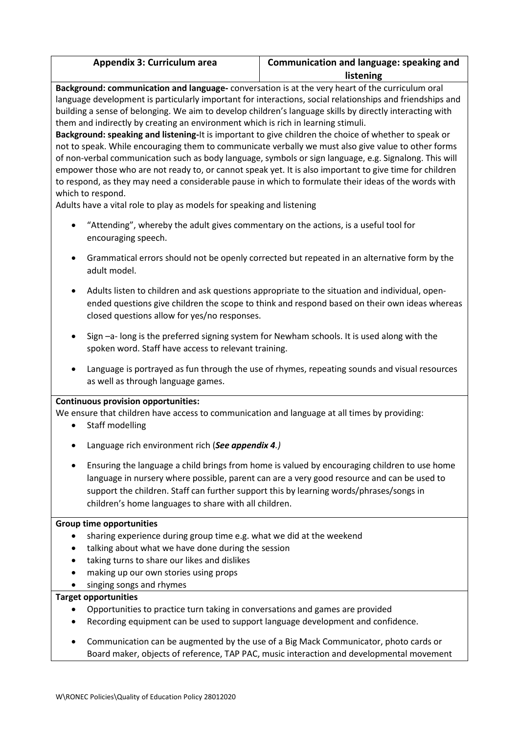| <b>Appendix 3: Curriculum area</b> | Communication and language: speaking and |
|------------------------------------|------------------------------------------|
|                                    | listening                                |

**Background: communication and language-** conversation is at the very heart of the curriculum oral language development is particularly important for interactions, social relationships and friendships and building a sense of belonging. We aim to develop children's language skills by directly interacting with them and indirectly by creating an environment which is rich in learning stimuli.

**Background: speaking and listening-**It is important to give children the choice of whether to speak or not to speak. While encouraging them to communicate verbally we must also give value to other forms of non-verbal communication such as body language, symbols or sign language, e.g. Signalong. This will empower those who are not ready to, or cannot speak yet. It is also important to give time for children to respond, as they may need a considerable pause in which to formulate their ideas of the words with which to respond.

Adults have a vital role to play as models for speaking and listening

- "Attending", whereby the adult gives commentary on the actions, is a useful tool for encouraging speech.
- Grammatical errors should not be openly corrected but repeated in an alternative form by the adult model.
- Adults listen to children and ask questions appropriate to the situation and individual, openended questions give children the scope to think and respond based on their own ideas whereas closed questions allow for yes/no responses.
- Sign –a- long is the preferred signing system for Newham schools. It is used along with the spoken word. Staff have access to relevant training.
- Language is portrayed as fun through the use of rhymes, repeating sounds and visual resources as well as through language games.

#### **Continuous provision opportunities:**

We ensure that children have access to communication and language at all times by providing:

- Staff modelling
- Language rich environment rich (*See appendix 4.)*
- Ensuring the language a child brings from home is valued by encouraging children to use home language in nursery where possible, parent can are a very good resource and can be used to support the children. Staff can further support this by learning words/phrases/songs in children's home languages to share with all children.

#### **Group time opportunities**

- sharing experience during group time e.g. what we did at the weekend
- talking about what we have done during the session
- taking turns to share our likes and dislikes
- making up our own stories using props
- singing songs and rhymes

#### **Target opportunities**

- Opportunities to practice turn taking in conversations and games are provided
- Recording equipment can be used to support language development and confidence.
- Communication can be augmented by the use of a Big Mack Communicator, photo cards or Board maker, objects of reference, TAP PAC, music interaction and developmental movement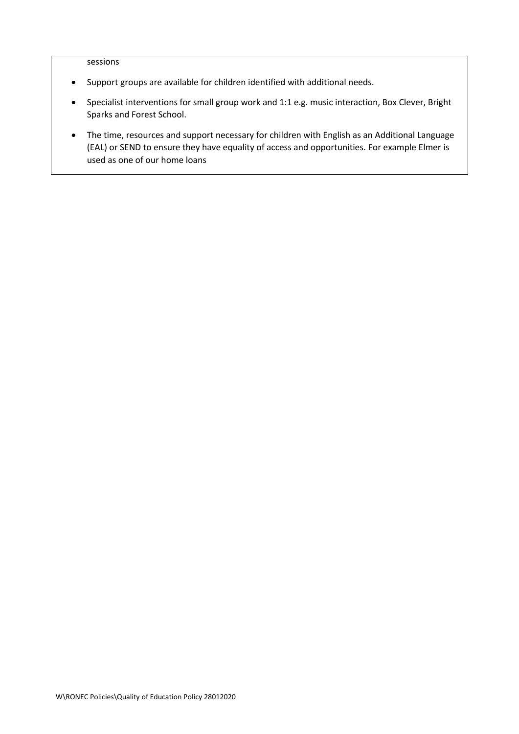sessions

- Support groups are available for children identified with additional needs.
- Specialist interventions for small group work and 1:1 e.g. music interaction, Box Clever, Bright Sparks and Forest School.
- The time, resources and support necessary for children with English as an Additional Language (EAL) or SEND to ensure they have equality of access and opportunities. For example Elmer is used as one of our home loans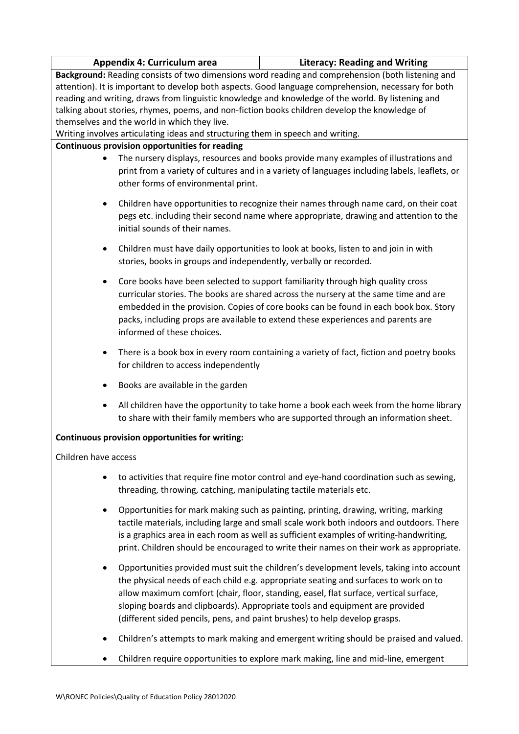| <b>Literacy: Reading and Writing</b><br>Appendix 4: Curriculum area                                  |                                                                                               |  |
|------------------------------------------------------------------------------------------------------|-----------------------------------------------------------------------------------------------|--|
| Background: Reading consists of two dimensions word reading and comprehension (both listening and    |                                                                                               |  |
| attention). It is important to develop both aspects. Good language comprehension, necessary for both |                                                                                               |  |
| reading and writing, draws from linguistic knowledge and knowledge of the world. By listening and    |                                                                                               |  |
| talking about stories, rhymes, poems, and non-fiction books children develop the knowledge of        |                                                                                               |  |
| themselves and the world in which they live.                                                         |                                                                                               |  |
| Writing involves articulating ideas and structuring them in speech and writing.                      |                                                                                               |  |
| Continuous provision opportunities for reading                                                       |                                                                                               |  |
| $\bullet$                                                                                            | The nursery displays, resources and books provide many examples of illustrations and          |  |
|                                                                                                      | print from a variety of cultures and in a variety of languages including labels, leaflets, or |  |
| other forms of environmental print.                                                                  |                                                                                               |  |
|                                                                                                      |                                                                                               |  |
| $\bullet$                                                                                            | Children have opportunities to recognize their names through name card, on their coat         |  |
|                                                                                                      | pegs etc. including their second name where appropriate, drawing and attention to the         |  |
| initial sounds of their names.                                                                       |                                                                                               |  |
|                                                                                                      |                                                                                               |  |
| $\bullet$                                                                                            | Children must have daily opportunities to look at books, listen to and join in with           |  |
| stories, books in groups and independently, verbally or recorded.                                    |                                                                                               |  |
| $\bullet$                                                                                            | Core books have been selected to support familiarity through high quality cross               |  |
|                                                                                                      | curricular stories. The books are shared across the nursery at the same time and are          |  |
| embedded in the provision. Copies of core books can be found in each book box. Story                 |                                                                                               |  |
| packs, including props are available to extend these experiences and parents are                     |                                                                                               |  |
| informed of these choices.                                                                           |                                                                                               |  |
|                                                                                                      |                                                                                               |  |
| $\bullet$                                                                                            | There is a book box in every room containing a variety of fact, fiction and poetry books      |  |
| for children to access independently                                                                 |                                                                                               |  |
|                                                                                                      |                                                                                               |  |
| Books are available in the garden<br>$\bullet$                                                       |                                                                                               |  |
| $\bullet$                                                                                            | All children have the opportunity to take home a book each week from the home library         |  |
|                                                                                                      | to share with their family members who are supported through an information sheet.            |  |
| Continuous provision opportunities for writing:                                                      |                                                                                               |  |
| Children have access                                                                                 |                                                                                               |  |
|                                                                                                      |                                                                                               |  |
|                                                                                                      | to activities that require fine motor control and eye-hand coordination such as sewing,       |  |
| threading, throwing, catching, manipulating tactile materials etc.                                   |                                                                                               |  |
| ٠                                                                                                    | Opportunities for mark making such as painting, printing, drawing, writing, marking           |  |
|                                                                                                      | tactile materials, including large and small scale work both indoors and outdoors. There      |  |
|                                                                                                      |                                                                                               |  |
|                                                                                                      | is a graphics area in each room as well as sufficient examples of writing-handwriting,        |  |
|                                                                                                      | print. Children should be encouraged to write their names on their work as appropriate.       |  |
| $\bullet$                                                                                            | Opportunities provided must suit the children's development levels, taking into account       |  |
|                                                                                                      | the physical needs of each child e.g. appropriate seating and surfaces to work on to          |  |
|                                                                                                      | allow maximum comfort (chair, floor, standing, easel, flat surface, vertical surface,         |  |
|                                                                                                      | sloping boards and clipboards). Appropriate tools and equipment are provided                  |  |
|                                                                                                      | (different sided pencils, pens, and paint brushes) to help develop grasps.                    |  |
|                                                                                                      |                                                                                               |  |
|                                                                                                      | Children's attempts to mark making and emergent writing should be praised and valued.         |  |
|                                                                                                      | Children require opportunities to explore mark making, line and mid-line, emergent            |  |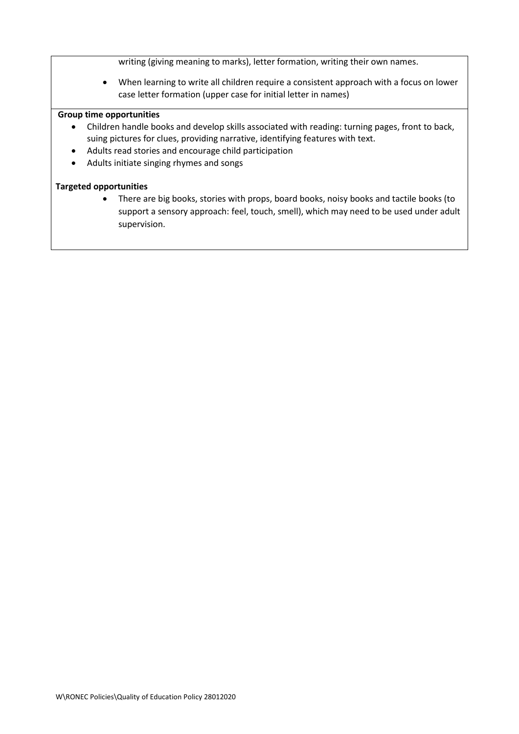writing (giving meaning to marks), letter formation, writing their own names.

 When learning to write all children require a consistent approach with a focus on lower case letter formation (upper case for initial letter in names)

#### **Group time opportunities**

- Children handle books and develop skills associated with reading: turning pages, front to back, suing pictures for clues, providing narrative, identifying features with text.
- Adults read stories and encourage child participation
- Adults initiate singing rhymes and songs

#### **Targeted opportunities**

• There are big books, stories with props, board books, noisy books and tactile books (to support a sensory approach: feel, touch, smell), which may need to be used under adult supervision.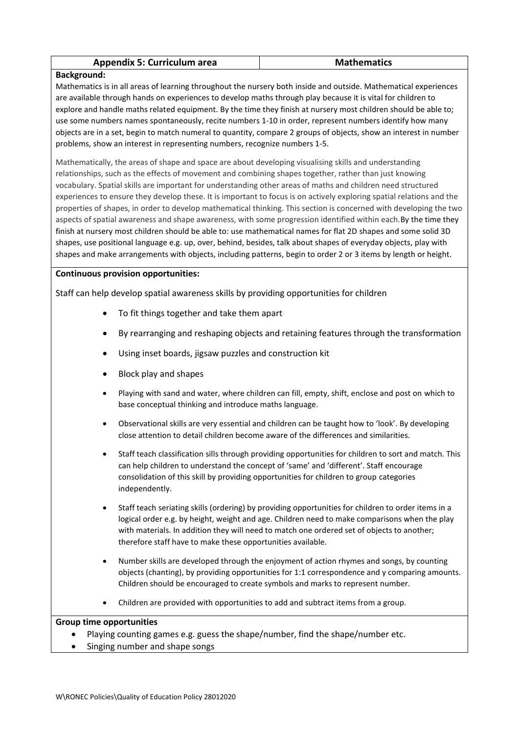| <b>Appendix 5: Curriculum area</b><br><b>Mathematics</b> |
|----------------------------------------------------------|
|----------------------------------------------------------|

#### **Background:**

Mathematics is in all areas of learning throughout the nursery both inside and outside. Mathematical experiences are available through hands on experiences to develop maths through play because it is vital for children to explore and handle maths related equipment. By the time they finish at nursery most children should be able to; use some numbers names spontaneously, recite numbers 1-10 in order, represent numbers identify how many objects are in a set, begin to match numeral to quantity, compare 2 groups of objects, show an interest in number problems, show an interest in representing numbers, recognize numbers 1-5.

Mathematically, the areas of shape and space are about developing visualising skills and understanding relationships, such as the effects of movement and combining shapes together, rather than just knowing vocabulary. Spatial skills are important for understanding other areas of maths and children need structured experiences to ensure they develop these. It is important to focus is on actively exploring spatial relations and the properties of shapes, in order to develop mathematical thinking. This section is concerned with developing the two aspects of spatial awareness and shape awareness, with some progression identified within each.By the time they finish at nursery most children should be able to: use mathematical names for flat 2D shapes and some solid 3D shapes, use positional language e.g. up, over, behind, besides, talk about shapes of everyday objects, play with shapes and make arrangements with objects, including patterns, begin to order 2 or 3 items by length or height.

#### **Continuous provision opportunities:**

Staff can help develop spatial awareness skills by providing opportunities for children

- To fit things together and take them apart
- By rearranging and reshaping objects and retaining features through the transformation
- Using inset boards, jigsaw puzzles and construction kit
- Block play and shapes
- Playing with sand and water, where children can fill, empty, shift, enclose and post on which to base conceptual thinking and introduce maths language.
- Observational skills are very essential and children can be taught how to 'look'. By developing close attention to detail children become aware of the differences and similarities.
- Staff teach classification sills through providing opportunities for children to sort and match. This can help children to understand the concept of 'same' and 'different'. Staff encourage consolidation of this skill by providing opportunities for children to group categories independently.
- Staff teach seriating skills (ordering) by providing opportunities for children to order items in a logical order e.g. by height, weight and age. Children need to make comparisons when the play with materials. In addition they will need to match one ordered set of objects to another; therefore staff have to make these opportunities available.
- Number skills are developed through the enjoyment of action rhymes and songs, by counting objects (chanting), by providing opportunities for 1:1 correspondence and y comparing amounts. Children should be encouraged to create symbols and marks to represent number.
- Children are provided with opportunities to add and subtract items from a group.

- Playing counting games e.g. guess the shape/number, find the shape/number etc.
- Singing number and shape songs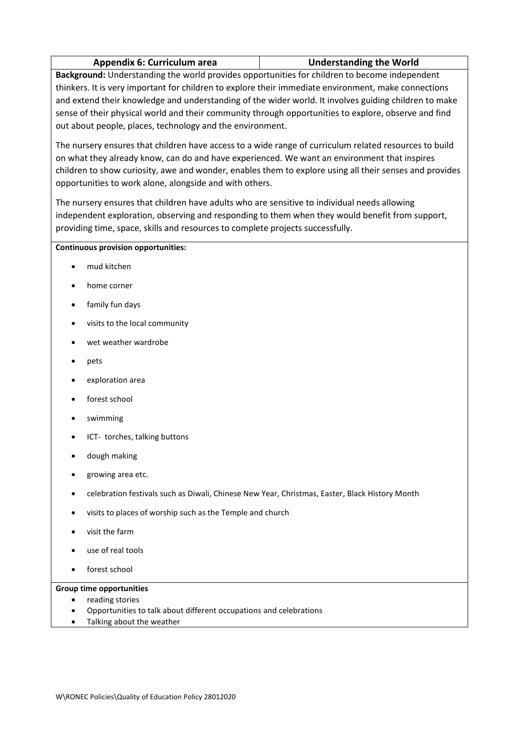|  | <b>Appendix 6: Curriculum area</b> | <b>Understanding the World</b> |
|--|------------------------------------|--------------------------------|
|--|------------------------------------|--------------------------------|

**Background:** Understanding the world provides opportunities for children to become independent thinkers. It is very important for children to explore their immediate environment, make connections and extend their knowledge and understanding of the wider world. It involves guiding children to make sense of their physical world and their community through opportunities to explore, observe and find out about people, places, technology and the environment.

The nursery ensures that children have access to a wide range of curriculum related resources to build on what they already know, can do and have experienced. We want an environment that inspires children to show curiosity, awe and wonder, enables them to explore using all their senses and provides opportunities to work alone, alongside and with others.

The nursery ensures that children have adults who are sensitive to individual needs allowing independent exploration, observing and responding to them when they would benefit from support, providing time, space, skills and resources to complete projects successfully.

#### **Continuous provision opportunities:**

- mud kitchen
- home corner
- family fun days
- visits to the local community
- wet weather wardrobe
- pets
- exploration area
- forest school
- swimming
- ICT- torches, talking buttons
- dough making
- growing area etc.
- celebration festivals such as Diwali, Chinese New Year, Christmas, Easter, Black History Month
- visits to places of worship such as the Temple and church
- visit the farm
- use of real tools
- forest school

- reading stories
- Opportunities to talk about different occupations and celebrations
- Talking about the weather